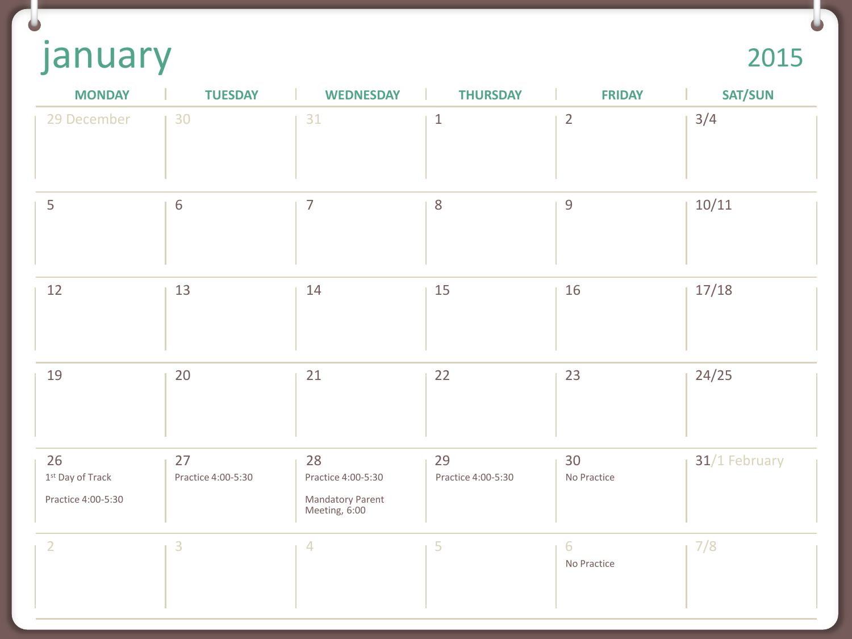january

 $\bullet$ 

| <b>MONDAY</b>                                  | <b>TUESDAY</b>           | <b>WEDNESDAY</b>                                              | <b>THURSDAY</b>          | <b>FRIDAY</b>     | <b>SAT/SUN</b> |
|------------------------------------------------|--------------------------|---------------------------------------------------------------|--------------------------|-------------------|----------------|
| 29 December                                    | 30                       | 31                                                            | $1\,$                    | $\overline{2}$    | 3/4            |
| 5                                              | $6\,$                    | $\overline{7}$                                                | $\,8\,$                  | $\overline{9}$    | 10/11          |
| 12                                             | 13                       | 14                                                            | 15                       | 16                | 17/18          |
| 19                                             | 20                       | 21                                                            | 22                       | 23                | 24/25          |
| 26<br>$1st$ Day of Track<br>Practice 4:00-5:30 | 27<br>Practice 4:00-5:30 | 28<br>Practice 4:00-5:30<br>Mandatory Parent<br>Meeting, 6:00 | 29<br>Practice 4:00-5:30 | 30<br>No Practice | 31/1 February  |
| $\overline{2}$                                 | $\overline{3}$           | $\overline{4}$                                                | 5                        | 6<br>No Practice  | 7/8            |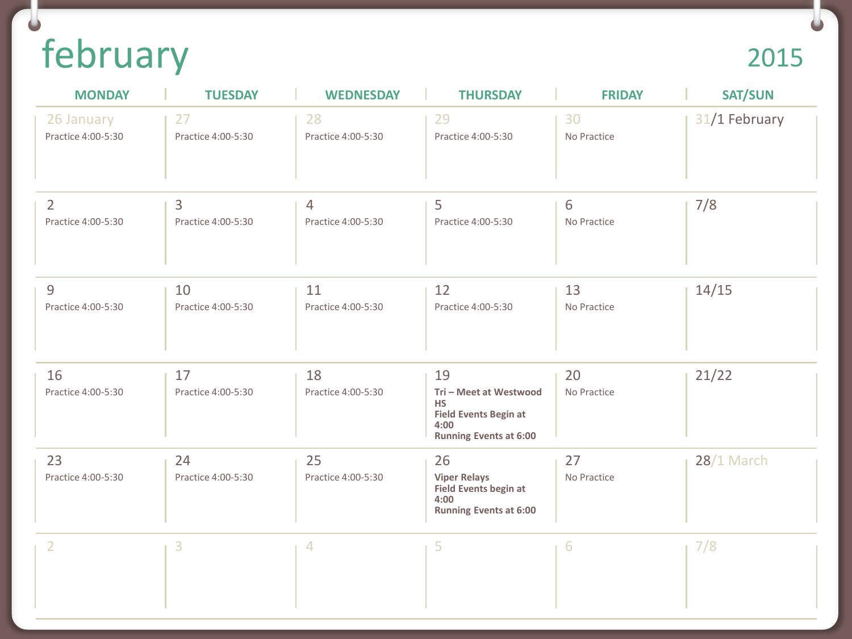## february

## 2015

| <b>MONDAY</b>                        | <b>TUESDAY</b>           | <b>WEDNESDAY</b>         | <b>THURSDAY</b>                                                                                                    | <b>FRIDAY</b>     | <b>SAT/SUN</b> |
|--------------------------------------|--------------------------|--------------------------|--------------------------------------------------------------------------------------------------------------------|-------------------|----------------|
| 26 January<br>Practice 4:00-5:30     | 27<br>Practice 4:00-5:30 | 28<br>Practice 4:00-5:30 | 29<br>Practice 4:00-5:30                                                                                           | 30<br>No Practice | 31/1 February  |
| $\overline{2}$<br>Practice 4:00-5:30 | 3<br>Practice 4:00-5:30  | 4<br>Practice 4:00-5:30  | 5<br>Practice 4:00-5:30                                                                                            | 6<br>No Practice  | 7/8            |
| 9<br>Practice 4:00-5:30              | 10<br>Practice 4:00-5:30 | 11<br>Practice 4:00-5:30 | 12<br>Practice 4:00-5:30                                                                                           | 13<br>No Practice | 14/15          |
| 16<br>Practice 4:00-5:30             | 17<br>Practice 4:00-5:30 | 18<br>Practice 4:00-5:30 | 19<br>Tri - Meet at Westwood<br><b>HS</b><br><b>Field Events Begin at</b><br>4:00<br><b>Running Events at 6:00</b> | 20<br>No Practice | 21/22          |
| 23<br>Practice 4:00-5:30             | 24<br>Practice 4:00-5:30 | 25<br>Practice 4:00-5:30 | 26<br><b>Viper Relays</b><br><b>Field Events begin at</b><br>4:00<br><b>Running Events at 6:00</b>                 | 27<br>No Practice | $28/1$ March   |
| 2                                    | 3                        | 4                        | 5                                                                                                                  | 6                 | 7/8            |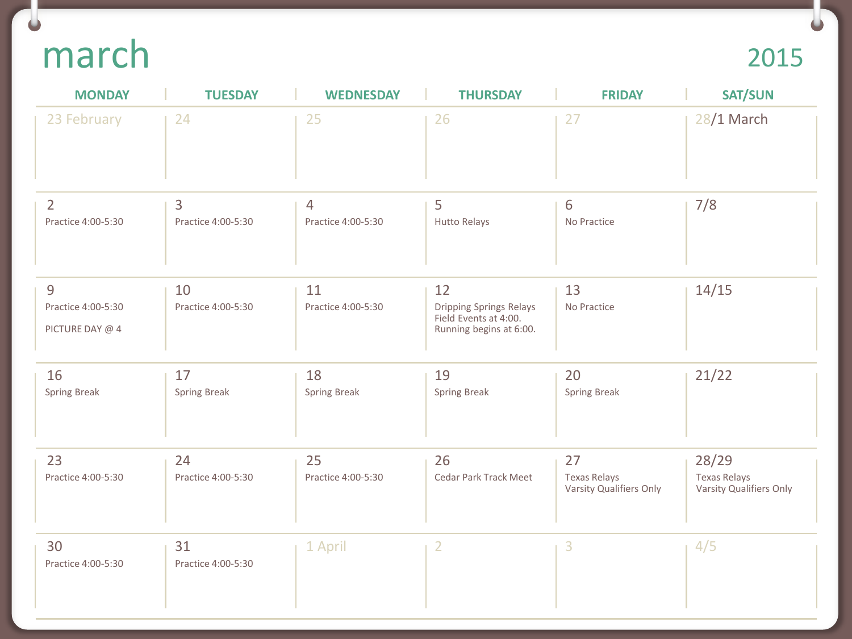## march

## 2015

| <b>MONDAY</b>                              | <b>TUESDAY</b>            | <b>WEDNESDAY</b>                     | <b>THURSDAY</b>                                                                          | <b>FRIDAY</b>                                        | <b>SAT/SUN</b>                                          |
|--------------------------------------------|---------------------------|--------------------------------------|------------------------------------------------------------------------------------------|------------------------------------------------------|---------------------------------------------------------|
| 23 February                                | 24                        | 25                                   | 26                                                                                       | 27                                                   | 28/1 March                                              |
| $\overline{2}$<br>Practice 4:00-5:30       | 3<br>Practice 4:00-5:30   | $\overline{4}$<br>Practice 4:00-5:30 | 5<br>Hutto Relays                                                                        | 6<br>No Practice                                     | 7/8                                                     |
| 9<br>Practice 4:00-5:30<br>PICTURE DAY @ 4 | 10<br>Practice 4:00-5:30  | 11<br>Practice 4:00-5:30             | 12<br><b>Dripping Springs Relays</b><br>Field Events at 4:00.<br>Running begins at 6:00. | 13<br>No Practice                                    | 14/15                                                   |
| 16<br><b>Spring Break</b>                  | 17<br><b>Spring Break</b> | 18<br><b>Spring Break</b>            | 19<br>Spring Break                                                                       | 20<br><b>Spring Break</b>                            | 21/22                                                   |
| 23<br>Practice 4:00-5:30                   | 24<br>Practice 4:00-5:30  | 25<br>Practice 4:00-5:30             | 26<br>Cedar Park Track Meet                                                              | 27<br><b>Texas Relays</b><br>Varsity Qualifiers Only | 28/29<br><b>Texas Relays</b><br>Varsity Qualifiers Only |
| 30<br>Practice 4:00-5:30                   | 31<br>Practice 4:00-5:30  | 1 April                              | $\overline{2}$                                                                           | 3                                                    | 4/5                                                     |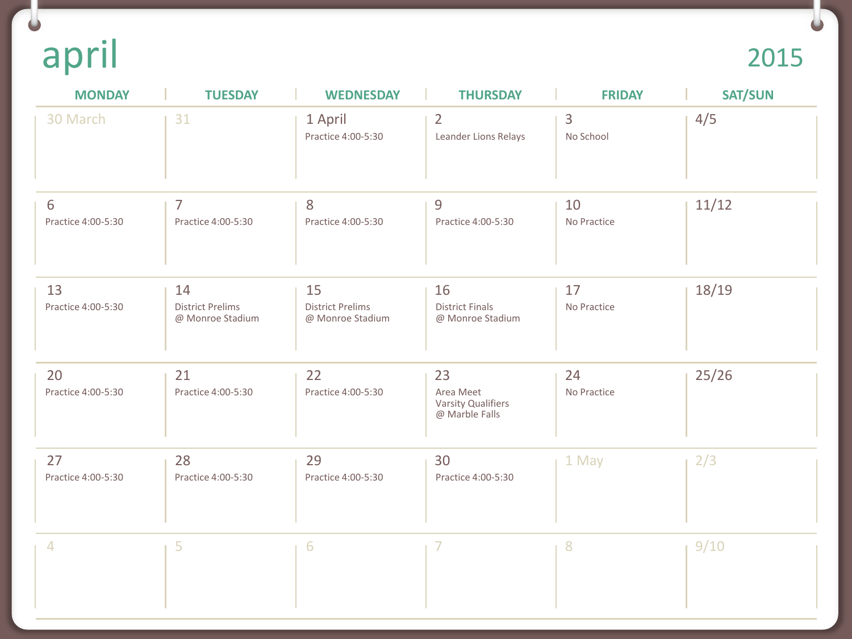april 2015

 $\Box$ 

| <b>MONDAY</b>            | <b>TUESDAY</b>                                    | <b>WEDNESDAY</b>                                  | <b>THURSDAY</b>                                         | <b>FRIDAY</b>     | <b>SAT/SUN</b> |
|--------------------------|---------------------------------------------------|---------------------------------------------------|---------------------------------------------------------|-------------------|----------------|
| 30 March                 | 31                                                | 1 April<br>Practice 4:00-5:30                     | $\overline{2}$<br>Leander Lions Relays                  | 3<br>No School    | 4/5            |
| 6<br>Practice 4:00-5:30  | 7<br>Practice 4:00-5:30                           | 8<br>Practice 4:00-5:30                           | 9<br>Practice 4:00-5:30                                 | 10<br>No Practice | 11/12          |
| 13<br>Practice 4:00-5:30 | 14<br><b>District Prelims</b><br>@ Monroe Stadium | 15<br><b>District Prelims</b><br>@ Monroe Stadium | 16<br><b>District Finals</b><br>@ Monroe Stadium        | 17<br>No Practice | 18/19          |
| 20<br>Practice 4:00-5:30 | 21<br>Practice 4:00-5:30                          | 22<br>Practice 4:00-5:30                          | 23<br>Area Meet<br>Varsity Qualifiers<br>@ Marble Falls | 24<br>No Practice | 25/26          |
| 27<br>Practice 4:00-5:30 | 28<br>Practice 4:00-5:30                          | 29<br>Practice 4:00-5:30                          | 30<br>Practice 4:00-5:30                                | 1 May             | 2/3            |
| 4                        | 5                                                 | 6                                                 | 7                                                       | $8\phantom{1}$    | 9/10           |